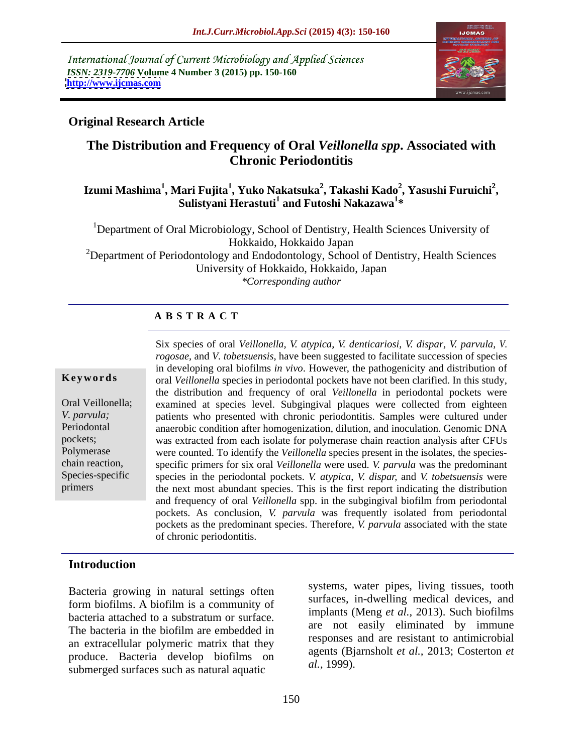International Journal of Current Microbiology and Applied Sciences *ISSN: 2319-7706* **Volume 4 Number 3 (2015) pp. 150-160 <http://www.ijcmas.com>**



# **Original Research Article**

# **The Distribution and Frequency of Oral** *Veillonella spp***. Associated with Chronic Periodontitis**

### Izumi Mashima<sup>1</sup>, Mari Fujita<sup>1</sup>, Yuko Nakatsuka<sup>2</sup>, Takashi Kado<sup>2</sup>, Yasushi Furuichi<sup>2</sup>,<br>Sulistyani Herastuti<sup>1</sup> and Futoshi Nakazawa<sup>1</sup>\* **, Yasushi Furuichi<sup>2</sup> and Futoshi Nakazawa<sup>1</sup> \***

<sup>1</sup>Department of Oral Microbiology, School of Dentistry, Health Sciences University of Hokkaido, Hokkaido Japan

<sup>2</sup>Department of Periodontology and Endodontology, School of Dentistry, Health Sciences University of Hokkaido, Hokkaido, Japan *\*Corresponding author*

## **A B S T R A C T**

primers

Six species of oral *Veillonella*, *V. atypica*, *V. denticariosi*, *V. dispar*, *V. parvula*, *V. rogosae,* and *V. tobetsuensis*, have been suggested to facilitate succession of species in developing oral biofilms *in vivo*. However, the pathogenicity and distribution of oral *Veillonella* species in periodontal pockets have not been clarified. In this study, the distribution and frequency of oral *Veillonella* in periodontal pockets were examined at species level. Subgingival plaques were collected from eighteen Oral Veillonella; patients who presented with chronic periodontitis. Samples were cultured under *V. parvula;* anaerobic condition after homogenization, dilution, and inoculation. Genomic DNA Periodontal pockets; was extracted from each isolate for polymerase chain reaction analysis after CFUs Polymerase were counted. To identify the *Veillonella* species present in the isolates, the speciesspecific primers for six oral *Veillonella* were used. *V. parvula* was the predominant chain reaction, Species-specific species in the periodontal pockets. *V. atypica*, *V. dispar*, and *V. tobetsuensis* were the next most abundant species. This is the first report indicating the distribution and frequency of oral *Veillonella* spp. in the subgingival biofilm from periodontal pockets. As conclusion, *V. parvula* was frequently isolated from periodontal pockets as the predominant species. Therefore, *V. parvula* associated with the state **Keywords**<br>
oral Veillonella species in periodontal pockets have not been clarified. In this study,<br>
the distribution and frequency of oral Veillonella in periodontal pockets were<br>
Oral Veillonella;<br>
v. parvula;<br>
patients

# **Introduction**

Bacteria growing in natural settings often form biofilms. A biofilm is a community of an extracellular polymeric matrix that they produce. Bacteria develop biofilms on agents (b)<br>authorized outlook on a pattern constitution and produced all applications and the subsequently all applications and the subsequently application of the subsequently all app submerged surfaces such as natural aquatic

bacteria attached to a substratum or surface.  $\frac{1}{2}$  in plants (wieng *et al.*, 2013). Such profilms The bacteria in the biofilm are embedded in the line of the casily eminimated by immune systems, water pipes, living tissues, tooth surfaces, in-dwelling medical devices, and implants (Meng *et al.,* 2013). Such biofilms are not easily eliminated by immune responses and are resistant to antimicrobial agents (Bjarnsholt *et al.,* 2013; Costerton *et al.,* 1999).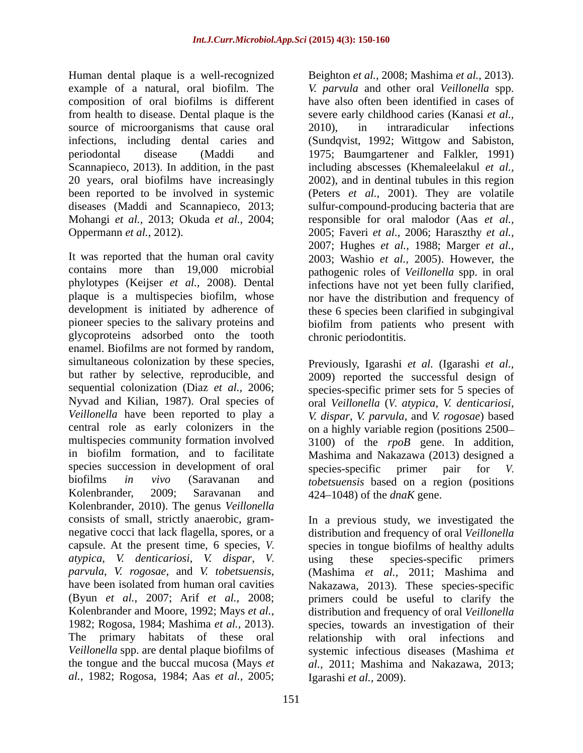composition of oral biofilms is different from health to disease. Dental plaque is the source of microorganisms that cause oral 2010), in intraradicular infections

glycoproteins adsorbed onto the tooth enamel. Biofilms are not formed by random, simultaneous colonization by these species, Previously, Igarashi et al. (Igarashi et al., species succession in development of oral species-specific primer pair for V. Kolenbrander, 2009; Saravanan and 424–1048) of the *dnaK* gene. Kolenbrander, 2010). The genus *Veillonella atypica*, *V. denticariosi*, *V. dispar*, *V. al.,* 1982; Rogosa, 1984; Aas *et al.,* 2005;

Human dental plaque is a well-recognized Beighton *et al.,* 2008; Mashima *et al.,* 2013). example of a natural, oral biofilm. The *V. parvula* and other oral *Veillonella* spp. infections, including dental caries and (Sundqvist, 1992; Wittgow and Sabiston, periodontal disease (Maddi and 1975; Baumgartener and Falkler, 1991) Scannapieco, 2013). In addition, in the past including abscesses (Khemaleelakul *et al.,* 20 years, oral biofilms have increasingly 2002), and in dentinal tubules in this region been reported to be involved in systemic (Peters *et al.,* 2001). They are volatile diseases (Maddi and Scannapieco, 2013; sulfur-compound-producing bacteria that are Mohangi *et al.,* 2013; Okuda *et al.,* 2004; responsible for oral malodor (Aas *et al.,* Oppermann *et al.,* 2012). 2005; Faveri *et al.,* 2006; Haraszthy *et al.,* It was reported that the human oral cavity 2003; Washio *et al.,* 2005). However, the contains more than 19,000 microbial pathogenic roles of *Veillonella* spp. in oral phylotypes (Keijser *et al.,* 2008). Dental infections have not yet been fully clarified, plaque is a multispecies biofilm, whose nor have the distribution and frequency of development is initiated by adherence of these 6 species been clarified in subgingival pioneer species to the salivary proteins and biofilm from patients who present with have also often been identified in cases of severe early childhood caries(Kanasi *et al.,* 2010), in intraradicular infections 2007; Hughes *et al.,* 1988; Marger *et al.,*

but rather by selective, reproducible, and 2009) reported the successful design of sequential colonization (Diaz *et al.*, 2006; species-specific primer sets for 5 species of Nyvad and Kilian, 1987). Oral species of oral *Veillonella* (*V. atypica*, *V. denticariosi*, *Veillonella* have been reported to play a *V. dispar*, *V. parvula*, and *V. rogosae*) based central role as early colonizers in the on a highly variable region (positions 2500– multispecies community formation involved 3100) of the *rpoB* gene. In addition, in biofilm formation, and to facilitate Mashima and Nakazawa (2013) designed a biofilms *in vivo* (Saravanan and *tobetsuensis* based on a region (positions chronic periodontitis. Previously, Igarashi *et al.* (Igarashi *et al.,* species-specific primer pair for *V.* 

consists of small, strictly anaerobic, gram- In a previous study, we investigated the negative cocci that lack flagella, spores, or a distribution and frequency of oral *Veillonella* capsule. At the present time, 6 species, *V.*  species in tongue biofilms of healthy adults *parvula*, *V. rogosae*, and *V. tobetsuensis,* (Mashima *et al.,* 2011; Mashima and have been isolated from human oral cavities Nakazawa, 2013). These species-specific (Byun *et al.,* 2007; Arif *et al.,* 2008; primers could be useful to clarify the Kolenbrander and Moore, 1992; Mays *et al.,* distribution and frequency of oral *Veillonella* 1982; Rogosa, 1984; Mashima *et al.*, 2013). Species, towards an investigation of their relationship with oral infections and *Veillonella* spp. are dental plaque biofilms of systemic infectious diseases (Mashima *et*  the tongue and the buccal mucosa (Mays *et al.,* 2011; Mashima and Nakazawa, 2013; using these species-specific primers species, towards an investigation of their relationship with oral infections and Igarashi *et al.,* 2009).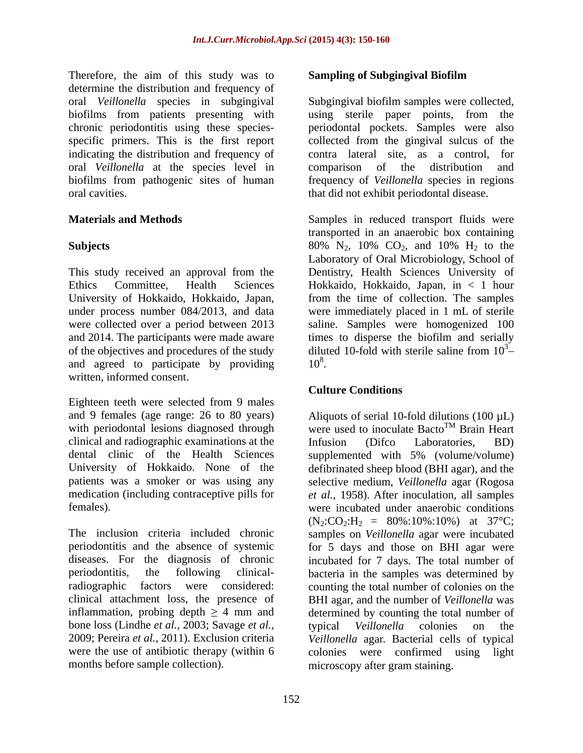Therefore, the aim of this study was to **Sampling of Subgingival Biofilm** determine the distribution and frequency of oral *Veillonella* species in subgingival Subgingival biofilm samples were collected, biofilms from patients presenting with using sterile paper points, from the chronic periodontitis using these species- periodontal pockets. Samples were also specific primers. This is the first report collected from the gingival sulcus of the indicating the distribution and frequency of contra lateral site, as a control, for oral *Veillonella* at the species level in biofilms from pathogenic sites of human frequency of *Veillonella* species in regions oral cavities. that did not exhibit periodontal disease.

This study received an approval from the and agreed to participate by providing  $10^8$ . written, informed consent.

Eighteen teeth were selected from 9 males clinical and radiographic examinations at the Infusion (Difco Laboratories, BD) dental clinic of the Health Sciences supplemented with 5% (volume/volume)<br>University of Hokkaido. None of the defibrinated sheep blood (BHI agar), and the medication (including contraceptive pills for

The inclusion criteria included chronic samples on *Veillonella* agar were incubated periodontitis and the absence of systemic for 5 days and those on BHI agar were diseases. For the diagnosis of chronic incubated for 7 days. The total number of periodontitis, the following clinical-bacteria in the samples was determined by radiographic factors were considered: counting the total number of colonies on the clinical attachment loss, the presence of BHI agar, and the number of *Veillonella* was inflammation, probing depth  $\geq 4$  mm and bone loss (Lindhe *et al.,* 2003; Savage *et al.,* 2009; Pereira *et al.,* 2011). Exclusion criteria *Veillonella* agar. Bacterial cells of typical were the use of antibiotic therapy (within 6 colonies were confirmed using light months before sample collection).

### **Sampling of Subgingival Biofilm**

contra lateral site, as a control, comparison of the distribution and

**Materials and Methods** Samples in reduced transport fluids were **Subjects Subjects SO**% N<sub>2</sub>, 10% CO<sub>2</sub>, and 10% H<sub>2</sub> to the Ethics Committee, Health Sciences Hokkaido, Hokkaido, Japan, in < 1 hour University of Hokkaido, Hokkaido, Japan, from the time of collection. The samples under process number 084/2013, and data were immediately placed in 1 mL of sterile were collected over a period between 2013 saline. Samples were homogenized 100 and 2014. The participants were made aware times to disperse the biofilm and serially of the objectives and procedures of the study diluted 10-fold with sterile saline from 10<sup>3</sup>transported in an anaerobic box containing Laboratory of Oral Microbiology, School of Dentistry, Health Sciences University of  $3<sup>2</sup>$  $10^8$ . .

## **Culture Conditions**

and 9 females (age range: 26 to 80 years) Aliquots of serial 10-fold dilutions (100  $\mu$ L) with periodontal lesions diagnosed through were used to inoculate Bacto<sup>TM</sup> Brain Heart University of Hokkaido. None of the defibrinated sheep blood (BHI agar), and the patients was a smoker or was using any selective medium, *Veillonella* agar (Rogosa females). were incubated under anaerobic conditions TM Brain Heart Infusion (Difco Laboratories, BD) supplemented with 5% (volume/volume) *et al.,* 1958). After inoculation, all samples  $(N_2:CO_2:H_2 = 80\% : 10\% : 10\%)$  at 37°C; determined by counting the total number of typical *Veillonella* colonies on the microscopy after gram staining.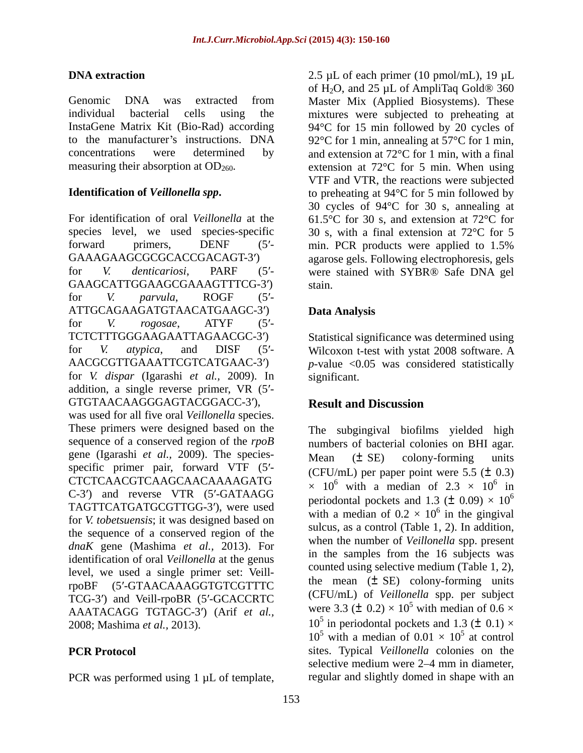GAAGCATTGGAAGCGAAAGTTTCG-3') stain. for *V. parvula*, ROGF (5'-ATTGCAGAAGATGTAACATGAAGC-3') Data Analysis for *V. rogosae*, ATYF (5'-TCTCTTTGGGAAGAATTAGAACGC-3') for *V. atypica*, and DISF (5'- Wilcoxon t-test with ystat 2008 software. A AACGCGTTGAAATTCGTCATGAAC-3')  $p$ -value <0.05 was considered statistically for *V. dispar* (Igarashi *et al.,* 2009). In addition, a single reverse primer, VR  $(5')$ -GTGTAACAAGGGAGTACGGACC-3'), **Result and Discussion** was used for all five oral *Veillonella* species. These primers were designed based on the The subgingival biofilms yielded high sequence of a conserved region of the *rpoB* numbers of bacterial colonies on BHI agar. gene (Igarashi *et al.,* 2009). The species specific primer pair, forward VTF  $(5'$ - (CFU/mL) per paper point were 5.5 ( $\pm$  0.3) CTCTCAACGTCAAGCAACAAAAGATG C-3') and reverse VTR (5'-GATAAGG TAGTTCATGATGCGTTGG-3 ), were used for *V. tobetsuensis*; it was designed based on the sequence of a conserved region of the *dnaK* gene (Mashima *et al.,* 2013). For identification of oral *Veillonella* at the genus level, we used a single primer set: VeillrpoBF (5'-GTAACAAAGGTGTCGTTTC TCG-3') and Veill-rpoBR (5'-GCACCRTC AAATACAGG TGTAGC-3 ) (Arif *et al.,* 2008; Mashima *et al.*, 2013).  $10^5$  in periodontal pockets and 1.3 ( $\pm$  0.1)  $\times$ 

PCR was performed using 1  $\mu$ L of template, regular and slightly domed in shape with an

**DNA extraction** 2.5 µL of each primer (10 pmol/mL), 19 µL Genomic DNA was extracted from Master Mix (Applied Biosystems). These individual bacterial cells using the mixtures were subjected to preheating at InstaGene Matrix Kit (Bio-Rad) according 94°C for 15 min followed by 20 cycles of to the manufacturer's instructions. DNA  $92^{\circ}$ C for 1 min, annealing at 57 $^{\circ}$ C for 1 min, concentrations were determined by and extension at 72°C for 1 min, with a final measuring their absorption at  $OD_{260}$ . extension at  $72^{\circ}$ C for 5 min. When using **Identification of** *Veillonella spp***.** to preheating at 94°C for 5 min followed by For identification of oral *Veillonella* at the  $61.5^{\circ}$ C for 30 s, and extension at 72<sup>o</sup>C for species level, we used species-specific 30 s, with a final extension at 72<sup>o</sup>C for 5 forward primers, DENF (5'- min. PCR products were applied to 1.5% GAAAGAAGCGCGCACCGACAGT-3') agarose gels. Following electrophoresis, gels for *V. denticariosi*, PARF (5'- were stained with SYBR® Safe DNA gel of  $H_2O$ , and 25 µL of AmpliTaq Gold<sup>®</sup> 360 VTF and VTR, the reactions were subjected 30 cycles of 94°C for 30 s, annealing at stain. **Example 20** Stain Stain Stain Stain Stain Stain Stain Stain Stain Stain Stain Stain Stain Stain Stain Stain Stain Stain Stain Stain Stain Stain Stain Stain Stain Stain Stain Stain Stain Stain Stain Stain Stain Stai

# **Data Analysis**

Statistical significance was determined using significant.

# **Result and Discussion**

**PCR Protocol** sites. Typical *Veillonella* colonies on the Mean (± SE) colony-forming units  $\times$  10<sup>6</sup> with a median of 2.3  $\times$  10<sup>6</sup> in  $6 \text{ in}$ in periodontal pockets and 1.3 ( $\pm$  0.09)  $\times$  10<sup>6</sup> 6 with a median of  $0.2 \times 10^6$  in the gingival  $^6$  in the gingivel in the gingival sulcus, as a control (Table 1, 2). In addition, when the number of *Veillonella* spp. present in the samples from the 16 subjects was counted using selective medium (Table 1, 2), the mean  $(\pm \text{ SE})$  colony-forming units (CFU/mL) of *Veillonella* spp. per subject were 3.3 ( $\pm$  0.2)  $\times$  10<sup>5</sup> with median of 0.6  $\times$ with median of  $0.6 \times$  $10^5$  with a median of  $0.01 \times 10^5$  at control  $\frac{5}{2}$  at earned at control selective medium were 2–4 mm in diameter,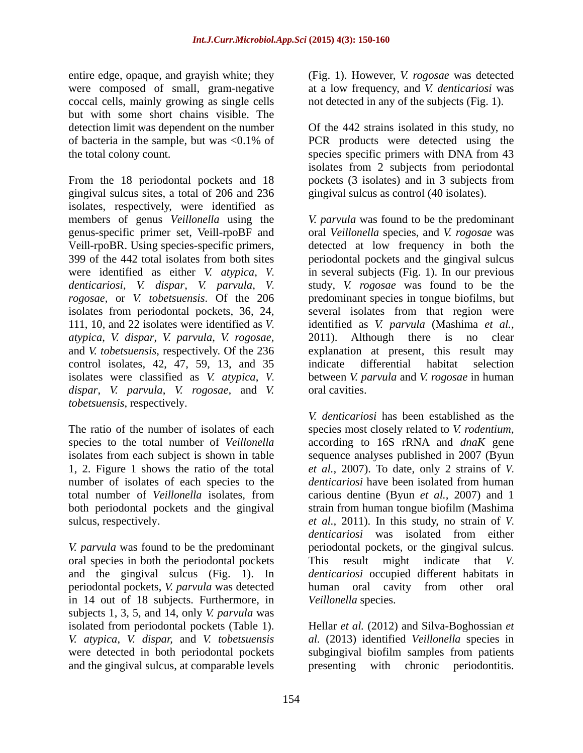entire edge, opaque, and grayish white; they were composed of small, gram-negative coccal cells, mainly growing as single cells but with some short chains visible. The detection limit was dependent on the number Of the 442 strains isolated in this study, no of bacteria in the sample, but was <0.1% of the total colony count. species specific primers with DNA from 43

From the 18 periodontal pockets and 18 pockets (3 isolates) and in 3 subjects from gingival sulcus sites, a total of 206 and 236 isolates, respectively, were identified as members of genus *Veillonella* using the *V. parvula* was found to be the predominant genus-specific primer set, Veill-rpoBF and oral *Veillonella* species, and *V. rogosae* was Veill-rpoBR. Using species-specific primers, detected at low frequency in both the 399 of the 442 total isolates from both sites periodontal pockets and the gingival sulcus were identified as either *V. atypica*, *V.*  in several subjects (Fig. 1). In our previous *denticariosi*, *V. dispar*, *V. parvula*, *V. rogosae,* or *V. tobetsuensis*. Of the 206 predominant species in tongue biofilms, but isolates from periodontal pockets, 36, 24, 111, 10, and 22 isolates were identified as *V.*  identified as *V. parvula* (Mashima *et al., atypica*, *V. dispar*, *V. parvula*, *V. rogosae,* 2011). Although there is no clear and *V. tobetsuensis*, respectively. Of the 236 explanation at present, this result may control isolates, 42, 47, 59, 13, and 35 indicate differential habitat selection isolates were classified as *V. atypica*, *V.*  between *V. parvula* and *V. rogosae* in human *dispar*, *V. parvula*, *V. rogosae,* and *V. tobetsuensis*, respectively.

The ratio of the number of isolates of each species most closely related to V. rodentium, species to the total number of *Veillonella* according to 16S rRNA and *dnaK* gene number of isolates of each species to the *denticariosi* have been isolated from human total number of *Veillonella* isolates, from carious dentine (Byun *et al.*, 2007) and 1

*V. parvula* was found to be the predominant oral species in both the periodontal pockets This result might indicate that V. in 14 out of 18 subjects. Furthermore, in subjects 1, 3, 5, and 14, only *V. parvula* was isolated from periodontal pockets (Table 1). Hellar *et al.* (2012) and Silva-Boghossian *et V. atypica*, *V. dispar,* and *V. tobetsuensis al.* (2013) identified *Veillonella* species in were detected in both periodontal pockets subgingival biofilm samples from patients

(Fig. 1). However, *V. rogosae* was detected at a low frequency, and *V. denticariosi* was not detected in any of the subjects (Fig. 1).

PCR products were detected using the isolates from 2 subjects from periodontal pockets (3 isolates) and in 3 subjects from gingival sulcus as control (40 isolates).

study, *V. rogosae* was found to be the several isolates from that region were indicate differential habitat selection oral cavities.

isolates from each subject is shown in table sequence analyses published in 2007 (Byun 1, 2. Figure 1 shows the ratio of the total *et al.,* 2007).To date, only 2 strains of *V.*  total number of *Veillonella* isolates, from carious dentine (Byun *et al.,* 2007) and 1 both periodontal pockets and the gingival strain from human tongue biofilm (Mashima sulcus, respectively. *et al.,* 2011). In this study, no strain of *V.*  and the gingival sulcus (Fig. 1). In *denticariosi* occupied different habitats in periodontal pockets, *V. parvula* was detected human oral cavity from other oral *V. denticariosi* has been established as the species most closely related to *V. rodentium*, according to 16S rRNA and *dnaK* gene *denticariosi* have been isolated from human *denticariosi* was isolated from either periodontal pockets, or the gingival sulcus. This result might indicate that *Veillonella* species.

and the gingival sulcus, at comparable levels presenting with chronic periodontitis.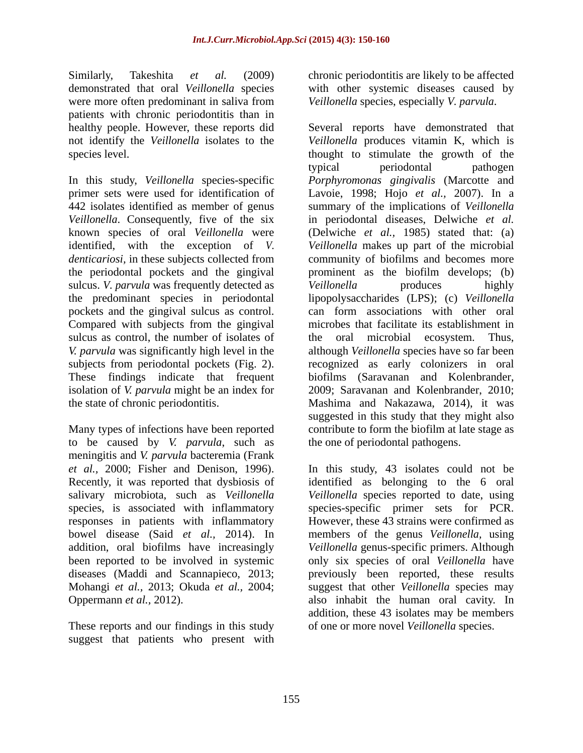Similarly, Takeshita *et al.* (2009) chronic periodontitis are likely to be affected demonstrated that oral *Veillonella* species with other systemic diseases caused by were more often predominant in saliva from *Veillonella* species, especially *V. parvula*. patients with chronic periodontitis than in

*Veillonella*. Consequently, five of the six identified, with the exception of *V.*  sulcus. *V. parvula* was frequently detected as *Veillonella* produces highly Compared with subjects from the gingival sulcus as control, the number of isolates of the subjects from periodontal pockets (Fig. 2). These findings indicate that frequent biofilms (Saravanan and Kolenbrander, isolation of *V. parvula* might be an index for 2009; Saravanan and Kolenbrander, 2010;

to be caused by *V. parvula*, such as meningitis and *V. parvula* bacteremia (Frank responses in patients with inflammatory

These reports and our findings in this study suggest that patients who present with *Veillonella* species, especially *V. parvula*.

healthy people. However, these reports did Several reports have demonstrated that not identify the *Veillonella* isolates to the *Veillonella* produces vitamin K, which is species level. The stimulate the growth of the stimulate the growth of the stimulate the growth of the stimulate the growth of the stimulate the growth of the stimulate the growth of the stimulate the growth of the stimula In this study, *Veillonella* species-specific *Porphyromonas gingivalis* (Marcotte and primer sets were used for identification of Lavoie, 1998; Hojo *et al.,* 2007). In a 442 isolates identified as member of genus summary of the implications of *Veillonella* known species of oral *Veillonella* were (Delwiche *et al.,* 1985) stated that: (a) *denticariosi,* in these subjects collected from community of biofilms and becomes more the periodontal pockets and the gingival prominent as the biofilm develops; (b) the predominant species in periodontal lipopolysaccharides (LPS); (c) *Veillonella* pockets and the gingival sulcus as control. can form associations with other oral *V. parvula* was significantly high level in the although *Veillonella* species have so far been the state of chronic periodontitis. Mashima and Nakazawa, 2014), it was<br>
suggested in this study that they might also<br>
Many types of infections have been reported contribute to form the biofilm at late stage as typical periodontal pathogen in periodontal diseases, Delwiche *et al. Veillonella* makes up part of the microbial *Veillonella* produces highly microbes that facilitate its establishment in oral microbial ecosystem. Thus, recognized as early colonizers in oral biofilms (Saravanan and Kolenbrander, 2009; Saravanan and Kolenbrander, 2010; Mashima and Nakazawa, 2014), it was suggested in this study that they might also contribute to form the biofilm at late stage as the one of periodontal pathogens.

*et al.*, 2000; Fisher and Denison, 1996). In this study, 43 isolates could not be Recently, it was reported that dysbiosis of identified as belonging to the 6 oral salivary microbiota, such as *Veillonella Veillonella* species reported to date, using species, is associated with inflammatory species-specific primer sets for PCR. bowel disease (Said *et al.,* 2014). In members of the genus *Veillonella,* using addition, oral biofilms have increasingly *Veillonella* genus-specific primers. Although been reported to be involved in systemic only six species of oral *Veillonella* have diseases (Maddi and Scannapieco, 2013; previously been reported, these results Mohangi *et al.,* 2013; Okuda *et al.,* 2004; suggest that other *Veillonella* species may Oppermann *et al.*, 2012). **also** inhabit the human oral cavity. In In this study, 43 isolates could not be identified as belonging to the 6 oral However, these 43 strains were confirmed as addition, these 43 isolates may be members of one or more novel *Veillonella* species.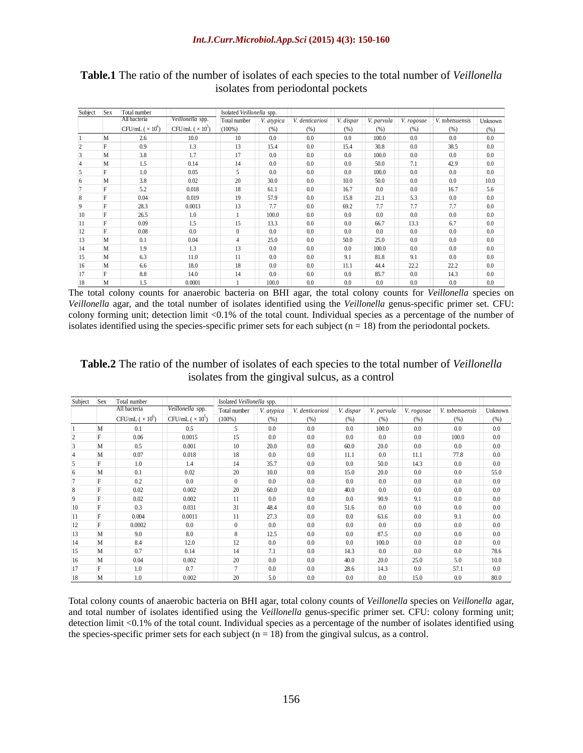| Subject Sex | i otal nun                  |                     | <b>Isolated Veillonella</b> |         |              |      |  |                                 |                |
|-------------|-----------------------------|---------------------|-----------------------------|---------|--------------|------|--|---------------------------------|----------------|
|             | All bacteria                | $V$ eillonella spp. | $\text{Total number}$ V     | atypica | aenticariosi |      |  |                                 |                |
|             | $\Gamma$ Fil $\mu$ $\Gamma$ |                     | (100%)                      |         |              |      |  | $1 \frac{W_{\rm b}}{W_{\rm b}}$ |                |
|             |                             |                     |                             |         |              |      |  |                                 |                |
|             |                             |                     |                             |         |              |      |  |                                 |                |
|             |                             |                     |                             |         |              |      |  |                                 | 0.0            |
|             |                             |                     |                             |         |              |      |  |                                 | 0.0            |
|             |                             |                     |                             |         |              |      |  |                                 | 00             |
|             |                             |                     |                             |         |              |      |  |                                 | 10(            |
|             |                             |                     |                             |         |              |      |  |                                 | 56             |
|             | -0.04                       |                     |                             |         |              |      |  |                                 | 0.0            |
|             |                             | (1)(1)              |                             |         |              |      |  |                                 | 0 <sub>0</sub> |
|             |                             |                     |                             |         |              |      |  |                                 | 00             |
|             |                             |                     |                             |         |              |      |  |                                 | 0 <sup>0</sup> |
|             |                             |                     |                             |         |              |      |  |                                 |                |
|             | - 0.08                      |                     |                             | - 00    |              |      |  |                                 | $\Omega$       |
|             |                             | - 0 0 4             |                             |         |              | 50.0 |  |                                 | 0.0            |
|             |                             |                     |                             |         |              |      |  |                                 | 0.0            |
|             |                             |                     |                             |         |              |      |  |                                 | 0.0            |
|             |                             |                     |                             |         |              |      |  | າາາ                             | 0.0            |
|             |                             | 14 <sub>0</sub>     |                             | -00     |              |      |  |                                 | $\Omega$       |
| 18          | M<br>- 1.0                  | 0.0001              |                             | 100.0   |              |      |  |                                 | 0.0            |

**Table.1** The ratio of the number of isolates of each species to the total number of *Veillonella* isolates from periodontal pockets

The total colony counts for anaerobic bacteria on BHI agar, the total colony counts for *Veillonella* species on *Veillonella* agar, and the total number of isolates identified using the *Veillonella* genus-specific primer set. CFU: colony forming unit; detection limit <0.1% of the total count. Individual species as a percentage of the number of isolates identified using the species-specific primer sets for each subject ( $n = 18$ ) from the periodontal pockets.

### **Table.2** The ratio of the number of isolates of each species to the total number of *Veillonella* isolates from the gingival sulcus, as a control

| Subject Sex | Total number                        |                                        |                         | Isolated Veillonella spp. |                |    |                |                |                                                   | the contract of the contract of the contract of the contract of |
|-------------|-------------------------------------|----------------------------------------|-------------------------|---------------------------|----------------|----|----------------|----------------|---------------------------------------------------|-----------------------------------------------------------------|
|             | All bacteria                        | Veillonella spp.                       |                         |                           |                |    |                |                |                                                   |                                                                 |
|             |                                     |                                        |                         |                           |                |    |                |                |                                                   |                                                                 |
|             |                                     |                                        |                         |                           |                |    | 1000           | 0 <sub>0</sub> | 00                                                |                                                                 |
|             | 00 O                                | 0.0015                                 |                         |                           |                |    |                | 0 <sub>0</sub> | 100.0                                             |                                                                 |
|             |                                     | 001                                    |                         |                           |                |    |                | 0.0            | 0 <sub>0</sub>                                    |                                                                 |
|             | 0.07                                | 0.018                                  |                         |                           |                |    | 00             |                |                                                   |                                                                 |
|             |                                     |                                        |                         |                           |                |    |                |                |                                                   |                                                                 |
|             |                                     |                                        |                         |                           |                |    |                | 0 <sub>0</sub> | 0 <sub>0</sub>                                    | 55.0                                                            |
|             |                                     |                                        |                         |                           |                |    | 0 <sub>0</sub> | 0.0            | 0 <sub>0</sub>                                    | 0 <sub>0</sub>                                                  |
|             | 0.02                                | 0.002                                  |                         |                           |                |    | 00             | 0 <sub>0</sub> | 0 <sub>0</sub>                                    |                                                                 |
|             |                                     | 002                                    |                         |                           |                |    |                |                |                                                   |                                                                 |
| $10-10$     |                                     | 0.031                                  |                         | 484                       |                |    |                | 0 <sub>0</sub> |                                                   |                                                                 |
|             | 0.004                               | 0.0011                                 |                         | 27 <sup>o</sup>           |                |    | 63.6           | 0.0            |                                                   |                                                                 |
|             | 0.0002                              | 00                                     |                         |                           |                |    | 0 <sub>0</sub> | 0.0            | 0 <sub>0</sub>                                    |                                                                 |
|             |                                     |                                        |                         |                           |                |    |                | 0 <sub>0</sub> |                                                   |                                                                 |
|             |                                     |                                        |                         |                           |                |    |                | 0 <sub>0</sub> |                                                   |                                                                 |
|             |                                     |                                        |                         |                           |                |    |                |                |                                                   |                                                                 |
|             |                                     |                                        |                         |                           |                |    | 0 <sub>0</sub> | 0 <sub>0</sub> | 0 <sub>0</sub>                                    |                                                                 |
|             | 0.04                                | 0.002                                  |                         |                           |                |    |                | 25.0           | 50                                                |                                                                 |
| 17          |                                     |                                        |                         |                           |                |    |                | 0.0            |                                                   |                                                                 |
| 18          | 10<br>the control of the control of | 0.002<br>the control of the control of | the control of the con- | 50                        | 0 <sub>0</sub> | 00 | 0 <sub>0</sub> | 15.0           | 0 <sub>0</sub><br>the contract of the contract of | 80.0                                                            |

Total colony counts of anaerobic bacteria on BHI agar, total colony counts of *Veillonella* species on *Veillonella* agar, and total number of isolates identified using the *Veillonella* genus-specific primer set. CFU: colony forming unit; detection limit <0.1% of the total count. Individual species as a percentage of the number of isolates identified using the species-specific primer sets for each subject  $(n = 18)$  from the gingival sulcus, as a control.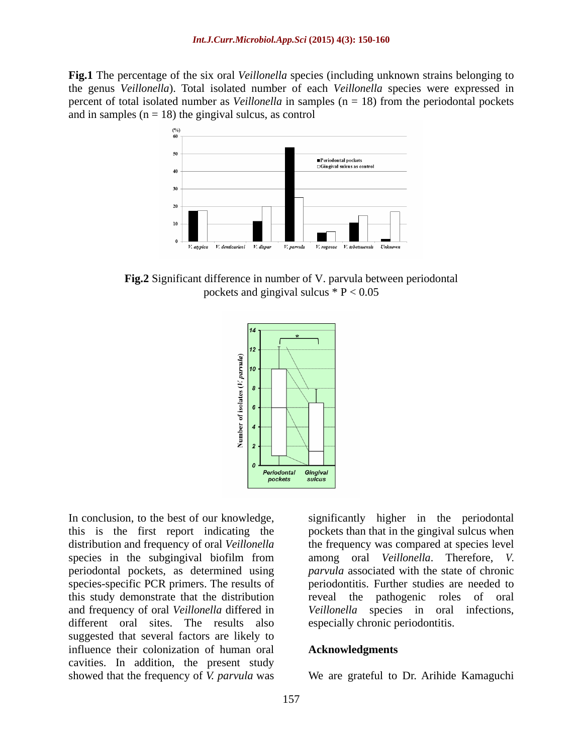**Fig.1** The percentage of the six oral *Veillonella* species (including unknown strains belonging to the genus *Veillonella*). Total isolated number of each *Veillonella* species were expressed in percent of total isolated number as *Veillonella* in samples (n = 18) from the periodontal pockets and in samples  $(n = 18)$  the gingival sulcus, as control



**Fig.2** Significant difference in number of V. parvula between periodontal pockets and gingival sulcus  $* P < 0.05$ 



this is the first report indicating the pockets than that in the gingival sulcus when distribution and frequency of oral *Veillonella* the frequency was compared at species level species in the subgingival biofilm from periodontal pockets, as determined using species-specific PCR primers. The results of this study demonstrate that the distribution and frequency of oral *Veillonella* differed in *Veillonella* species in oral infections, different oral sites. The results also suggested that several factors are likely to influence their colonization of human oral **Acknowledgments** cavities. In addition, the present study showed that the frequency of *V. parvula* was We are grateful to Dr. Arihide Kamaguchi

In conclusion, to the best of our knowledge, significantly higher in the periodontal among oral *Veillonella*. Therefore, *V. parvula* associated with the state of chronic periodontitis. Further studies are needed to reveal the pathogenic especially chronic periodontitis.

### **Acknowledgments**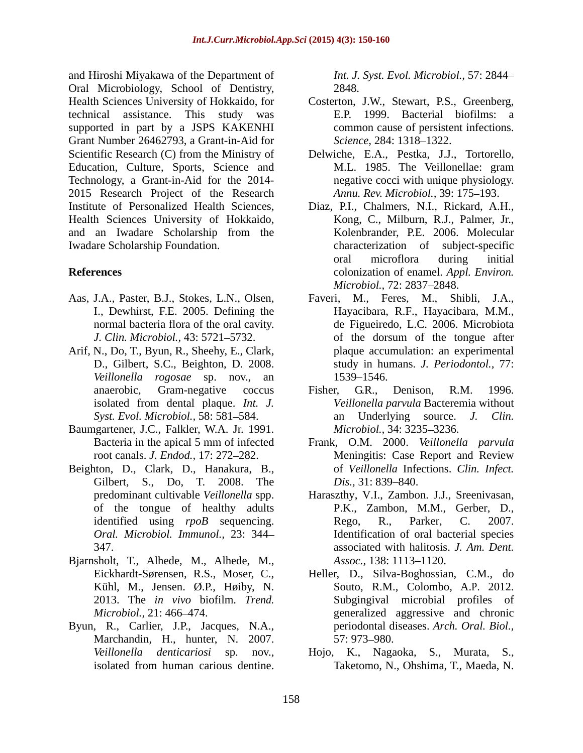and Hiroshi Miyakawa of the Department of Oral Microbiology, School of Dentistry, Health Sciences University of Hokkaido, for Costerton, J.W., Stewart, P.S., Greenberg, technical assistance. This study was supported in part by a JSPS KAKENHI Grant Number 26462793, a Grant-in-Aid for Scientific Research (C) from the Ministry of Delwiche, E.A., Pestka, J.J., Tortorello, Education, Culture, Sports, Science and M.L. 1985. The Veillonellae: gram Technology, a Grant-in-Aid for the 2014- 2015 Research Project of the Research Institute of Personalized Health Sciences, Diaz, P.I., Chalmers, N.I., Rickard, A.H., Health Sciences University of Hokkaido, and an Iwadare Scholarship from the Iwadare Scholarship Foundation. characterization of subject-specific

- Aas, J.A., Paster, B.J., Stokes, L.N., Olsen, Faveri, M., Feres, M., Shibli, J.A.,
- *Veillonella rogosae* sp. nov., an
- Baumgartener, J.C., Falkler, W.A. Jr. 1991. *Microbiol.*, 34: 3235–3236.
- Beighton, D., Clark, D., Hanakura, B., of Veillonella Infe<br>Gilbert, S., Do, T. 2008. The Dis., 31: 839–840. of the tongue of healthy adults *Oral. Microbiol. Immunol.,* 23: 344
- Bjarnsholt, T., Alhede, M., Alhede, M., *Assoc.*, 138: 1113–1120.<br>Eickhardt-Sørensen, R.S., Moser, C., Heller, D., Silva-Boghossian, C.M., do<br>Kühl, M., Jensen. Ø.P., Høiby, N. Souto, R.M., Colombo, A.P. 2012.
- Byun, R., Carlier, J.P., Jacques, N.A., periodontal di<br>Marchandin, H., hunter, N. 2007. 57: 973–980.

*Int. J. Syst. Evol. Microbiol.,* 57: 2844 2848.

- E.P. 1999. Bacterial biofilms: a common cause of persistent infections. *Science,* 284: 1318–1322.
- M.L. 1985. The Veillonellae: gram negative cocci with unique physiology. *Annu. Rev. Microbiol., 39: 175–193.*
- **References** colonization of enamel. *Appl. Environ.* Kong, C., Milburn, R.J., Palmer, Jr., Kolenbrander, P.E. 2006. Molecular oral microflora during initial *Microbiol., 72: 2837-2848.*
- J.A., Paster, B.J., Stokes, L.N., Olsen, Faveri, M., Feres, M., Shibli, J.A., I., Dewhirst, F.E. 2005. Defining the Hayacibara, R.F., Hayacibara, M.M., normal bacteria flora of the oral cavity. de Figueiredo, L.C. 2006. Microbiota *J. Clin. Microbiol.,* 43: 5721–5732. of the dorsum of the tongue after Arif, N., Do, T., Byun, R., Sheehy, E., Clark, plaque accumulation: an experimental D., Gilbert, S.C., Beighton, D. 2008. study in humans. *J. Periodontol.,* 77: of the dorsum of the tongue after plaque accumulation: an experimental 1539–1546.
	- anaerobic, Gram-negative coccus Fisher, G.R., Denison, R.M. 1996. isolated from dental plaque. *Int. J. Veillonella parvula* Bacteremia without *Syst. Evol. Microbiol.,* 58: 581 584. an Underlying source. *J. Clin.* Fisher, G.R., Denison, R.M. 1996. *Microbiol.,* 34: 3235–3236.
	- Bacteria in the apical 5 mm of infected Frank, O.M. 2000. *Veillonella parvula* root canals. *J. Endod.*, 17: 272–282. Meningitis: Case Report and Review Meningitis: Case Report and Review of *Veillonella* Infections. *Clin. Infect. Dis.*, 31: 839–840.
	- predominant cultivable *Veillonella* spp. Haraszthy, V.I., Zambon. J.J., Sreenivasan, identified using *rpoB* sequencing. Rego, R., Parker, C. 2007. 347. associated with halitosis. *J. Am. Dent.* P.K., Zambon, M.M., Gerber, D., Rego, R., Parker, C. 2007. Identification of oral bacterial species *Assoc.,* 138: 1113–1120.
	- 2013. The *in vivo* biofilm. *Trend.*  Subgingival microbial profiles of *Microbiol.,* 21: 466–474. **generalized** aggressive and chronic Heller, D., Silva-Boghossian, C.M., do Souto, R.M., Colombo, A.P. 2012. periodontal diseases. *Arch. Oral. Biol.,* 57: 973–980.
	- *Veillonella denticariosi* sp. nov., Hojo, K., Nagaoka, S., Murata, S., isolated from human carious dentine. Taketomo, N., Ohshima, T., Maeda, N. Taketomo, N., Ohshima, T., Maeda, N.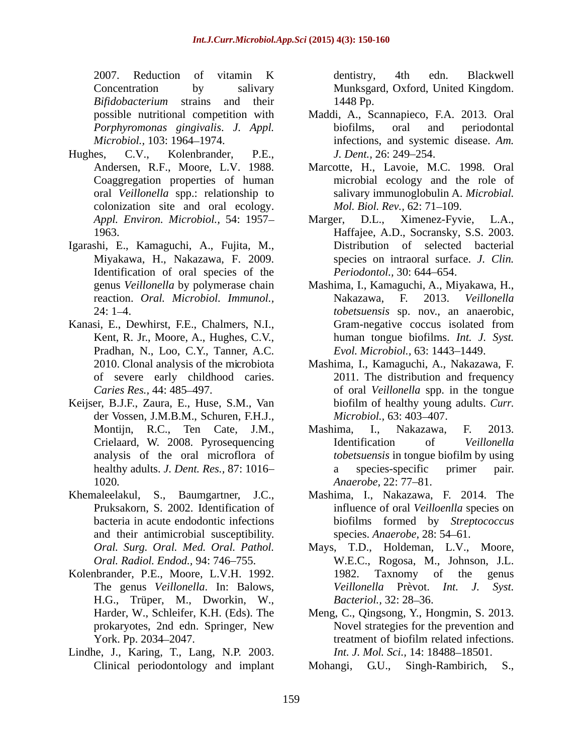2007. Reduction of vitamin K Concentration by salivary Munksgard, Oxford, United Kingdom. *Bifidobacterium* strains and their

- Hughes, C.V., Kolenbrander, P.E., J. Dent., 26: 249–254.<br>Andersen, R.F., Moore, L.V. 1988. Marcotte, H., Lavoie, M.C. 1998. Oral colonization site and oral ecology. Mol. Biol. Rev., 62: 71–109.
- Igarashi, E., Kamaguchi, A., Fujita, M., Miyakawa, H., Nakazawa, F. 2009. Identification of oral species of the
- Kanasi, E., Dewhirst, F.E., Chalmers, N.I., Gram-negative coccus isolated from<br>
Kent, R. Jr., Moore, A., Hughes, C.V., human tongue biofilms. *Int. J. Syst.*<br>
Pradhan, N., Loo, C.Y., Tanner, A.C. *Evol. Microbiol.*, 63: 14
- Keijser, B.J.F., Zaura, E., Huse, S.M., Van der Vossen, J.M.B.M., Schuren, F.H.J., Microbiol., 63: 403–407.<br>Montijn, R.C., Ten Cate, J.M., Mashima, I., Nakazawa, F. 2013.<br>Crielaard, W. 2008. Pyrosequencing Mentification of *Veillonella* 1020. Anaerobe, 22: 77–81.
- and their antimicrobial susceptibility.
- Kolenbrander, P.E., Moore, L.V.H. 1992. The genus *Veillonella*. In: Balows, H.G., Trüper, M., Dworkin, W.,
- Lindhe, J., Karing, T., Lang, N.P. 2003.

dentistry, 4th edn. Blackwell 1448 Pp.

- possible nutritional competition with Maddi, A., Scannapieco, F.A. 2013. Oral *Porphyromonas gingivalis*. *J. Appl. Microbiol.*, 103: 1964–1974. **infections**, and systemic disease. Am. biofilms, oral and periodontal *J. Dent.,* 26: 249–254.
- Coaggregation properties of human microbial ecology and the role of oral *Veillonella* spp.: relationship to salivary immunoglobulin A. *Microbial. Mol. Biol. Rev.,* 62: 71–109.
- *Appl. Environ. Microbiol.,* 54: 1957 Appl. Environ. Microbiol., 54: 1957–<br>1963. Marger, D.L., Ximenez-Fyvie, L.A., 1963. Haffajee, A.D., Socransky, S.S. 2003. Distribution of selected bacterial species on intraoral surface. *J. Clin.* Periodontol., 30: 644-654.
- genus *Veillonella* by polymerase chain Mashima, I., Kamaguchi, A., Miyakawa, H., Nakazawa, F. 2013. *Veillonella*  reaction. *Oral. Microbiol. Immunol.,* 24: 1 4. *tobetsuensis* sp. nov., an anaerobic, Gram-negative coccus isolated from human tongue biofilms. *Int. J. Syst. Evol. Microbiol., 63: 1443-1449.*
- of severe early childhood caries. 2011. The distribution and frequency *Caries Res.,* 44: 485 497. of oral *Veillonella* spp. in the tongue Mashima, I., Kamaguchi, A., Nakazawa, F. biofilm of healthy young adults. *Curr. Microbiol.,* 63: 403–407.
- analysis of the oral microflora of *tobetsuensis* in tongue biofilm by using healthy adults. *J. Dent. Res.*, 87: 1016- a species-specific primer pair. Mashima, I., Nakazawa, F. 2013. Identification of *Veillonella*  a species-specific primer pair. *Anaerobe,* 22: 77–81.
- Khemaleelakul, S., Baumgartner, J.C., Mashima, I., Nakazawa, F. 2014. The Pruksakorn, S. 2002. Identification of influence of oral *Veilloenlla* species on bacteria in acute endodontic infections biofilms formed by *Streptococcus* Mashima, I., Nakazawa, F. 2014. The influence of oral *Veilloenlla* species on species. *Anaerobe*, 28: 54–61.
	- *Oral. Surg. Oral. Med. Oral. Pathol.* Mays, T.D., Holdeman, L.V., Moore, *Oral. Radiol. Endod.,* 94: 746 755. W.E.C., Rogosa, M., Johnson, J.L. 1982. Taxnomy of the genus *Veillonella* Prèvot. *Int. J. Syst. Bacteriol.,* 32: 28–36.
	- Harder, W., Schleifer, K.H. (Eds). The Meng, C., Qingsong, Y., Hongmin, S. 2013. prokaryotes, 2nd edn. Springer, New Novel strategies for the prevention and York. Pp. 2034–2047. The treatment of biofilm related infections. treatment of biofilm related infections. *Int. J. Mol. Sci.,* 14: 18488-18501.

Clinical periodontology and implant Mohangi, G.U., Singh-Rambirich, S., Mohangi, G.U.,